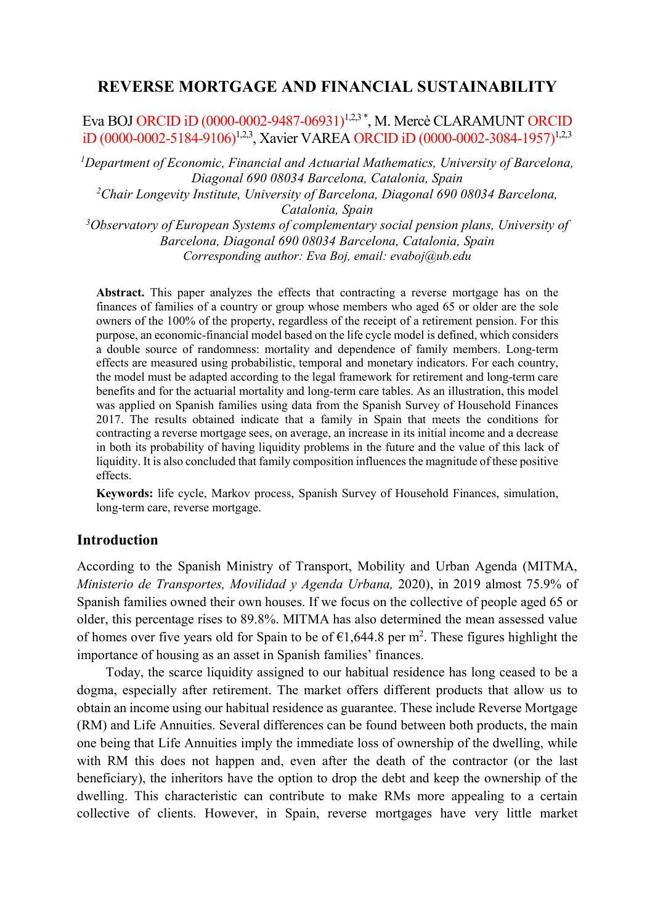# **REVERSE MORTGAGE AND FINANCIAL SUSTAINABILITY**

Eva BOJ ORCID iD (0000-0002-9487-06931)<sup>1,2,3</sup><sup>\*</sup>, M. Mercè CLARAMUNT ORCID iD (0000-0002-5184-9106)<sup>1,2,3</sup>, Xavier VAREA ORCID iD (0000-0002-3084-1957)<sup>1,2,3</sup>

*1 Department of Economic, Financial and Actuarial Mathematics, University of Barcelona, Diagonal 690 08034 Barcelona, Catalonia, Spain*

*2 Chair Longevity Institute, University of Barcelona, Diagonal 690 08034 Barcelona,* 

*Catalonia, Spain 3 Observatory of European Systems of complementary social pension plans, University of Barcelona, Diagonal 690 08034 Barcelona, Catalonia, Spain Corresponding author: Eva Boj, email: [evaboj@ub.edu](mailto:evaboj@ub.edu)*

**Abstract.** This paper analyzes the effects that contracting a reverse mortgage has on the finances of families of a country or group whose members who aged 65 or older are the sole owners of the 100% of the property, regardless of the receipt of a retirement pension. For this purpose, an economic-financial model based on the life cycle model is defined, which considers a double source of randomness: mortality and dependence of family members. Long-term effects are measured using probabilistic, temporal and monetary indicators. For each country, the model must be adapted according to the legal framework for retirement and long-term care benefits and for the actuarial mortality and long-term care tables. As an illustration, this model was applied on Spanish families using data from the Spanish Survey of Household Finances 2017. The results obtained indicate that a family in Spain that meets the conditions for contracting a reverse mortgage sees, on average, an increase in its initial income and a decrease in both its probability of having liquidity problems in the future and the value of this lack of liquidity. It is also concluded that family composition influences the magnitude of these positive effects.

**Keywords:** life cycle, Markov process, Spanish Survey of Household Finances, simulation, long-term care, reverse mortgage.

### **Introduction**

According to the Spanish Ministry of Transport, Mobility and Urban Agenda (MITMA, *Ministerio de Transportes, Movilidad y Agenda Urbana,* 2020), in 2019 almost 75.9% of Spanish families owned their own houses. If we focus on the collective of people aged 65 or older, this percentage rises to 89.8%. MITMA has also determined the mean assessed value of homes over five years old for Spain to be of  $\epsilon$ 1,644.8 per m<sup>2</sup>. These figures highlight the importance of housing as an asset in Spanish families' finances.

Today, the scarce liquidity assigned to our habitual residence has long ceased to be a dogma, especially after retirement. The market offers different products that allow us to obtain an income using our habitual residence as guarantee. These include Reverse Mortgage (RM) and Life Annuities. Several differences can be found between both products, the main one being that Life Annuities imply the immediate loss of ownership of the dwelling, while with RM this does not happen and, even after the death of the contractor (or the last beneficiary), the inheritors have the option to drop the debt and keep the ownership of the dwelling. This characteristic can contribute to make RMs more appealing to a certain collective of clients. However, in Spain, reverse mortgages have very little market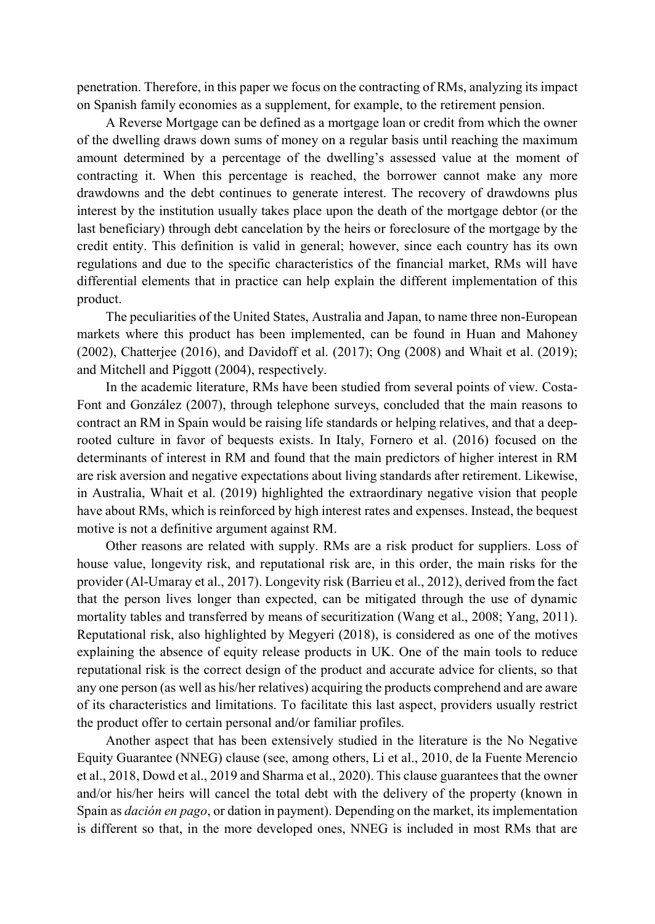penetration. Therefore, in this paper we focus on the contracting of RMs, analyzing its impact on Spanish family economies as a supplement, for example, to the retirement pension.

A Reverse Mortgage can be defined as a mortgage loan or credit from which the owner of the dwelling draws down sums of money on a regular basis until reaching the maximum amount determined by a percentage of the dwelling's assessed value at the moment of contracting it. When this percentage is reached, the borrower cannot make any more drawdowns and the debt continues to generate interest. The recovery of drawdowns plus interest by the institution usually takes place upon the death of the mortgage debtor (or the last beneficiary) through debt cancelation by the heirs or foreclosure of the mortgage by the credit entity. This definition is valid in general; however, since each country has its own regulations and due to the specific characteristics of the financial market, RMs will have differential elements that in practice can help explain the different implementation of this product.

The peculiarities of the United States, Australia and Japan, to name three non-European markets where this product has been implemented, can be found in Huan and Mahoney (2002), Chatterjee (2016), and Davidoff et al. (2017); Ong (2008) and Whait et al. (2019); and Mitchell and Piggott (2004), respectively.

In the academic literature, RMs have been studied from several points of view. Costa-Font and González (2007), through telephone surveys, concluded that the main reasons to contract an RM in Spain would be raising life standards or helping relatives, and that a deeprooted culture in favor of bequests exists. In Italy, Fornero et al. (2016) focused on the determinants of interest in RM and found that the main predictors of higher interest in RM are risk aversion and negative expectations about living standards after retirement. Likewise, in Australia, Whait et al. (2019) highlighted the extraordinary negative vision that people have about RMs, which is reinforced by high interest rates and expenses. Instead, the bequest motive is not a definitive argument against RM.

Other reasons are related with supply. RMs are a risk product for suppliers. Loss of house value, longevity risk, and reputational risk are, in this order, the main risks for the provider (Al-Umaray et al., 2017). Longevity risk (Barrieu et al., 2012), derived from the fact that the person lives longer than expected, can be mitigated through the use of dynamic mortality tables and transferred by means of securitization (Wang et al., 2008; Yang, 2011). Reputational risk, also highlighted by Megyeri (2018), is considered as one of the motives explaining the absence of equity release products in UK. One of the main tools to reduce reputational risk is the correct design of the product and accurate advice for clients, so that any one person (as well as his/her relatives) acquiring the products comprehend and are aware of its characteristics and limitations. To facilitate this last aspect, providers usually restrict the product offer to certain personal and/or familiar profiles.

Another aspect that has been extensively studied in the literature is the No Negative Equity Guarantee (NNEG) clause (see, among others, Li et al., 2010, de la Fuente Merencio et al., 2018, Dowd et al., 2019 and Sharma et al., 2020). This clause guarantees that the owner and/or his/her heirs will cancel the total debt with the delivery of the property (known in Spain as *dación en pago*, or dation in payment). Depending on the market, its implementation is different so that, in the more developed ones, NNEG is included in most RMs that are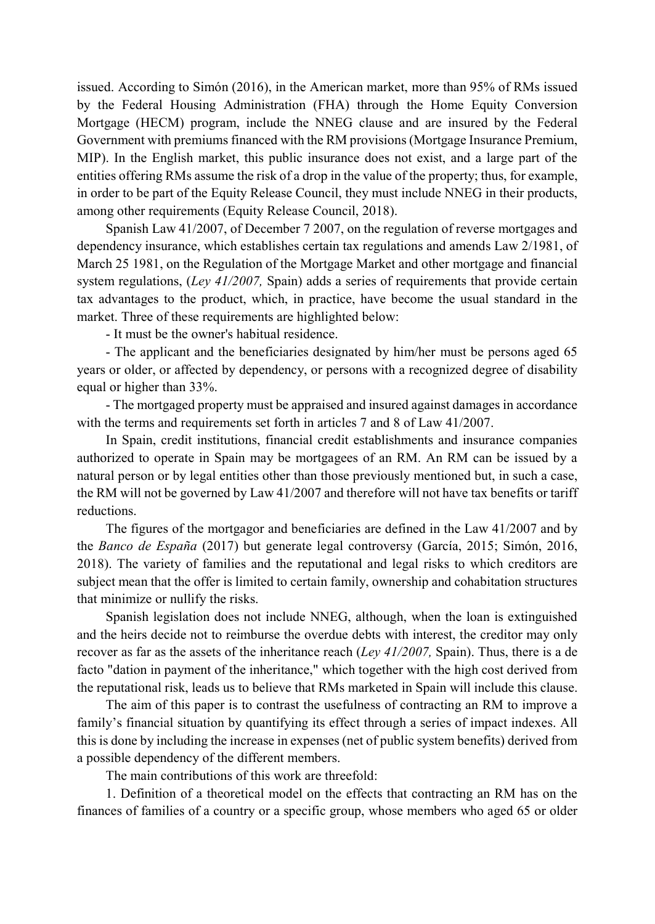issued. According to Simón (2016), in the American market, more than 95% of RMs issued by the Federal Housing Administration (FHA) through the Home Equity Conversion Mortgage (HECM) program, include the NNEG clause and are insured by the Federal Government with premiums financed with the RM provisions (Mortgage Insurance Premium, MIP). In the English market, this public insurance does not exist, and a large part of the entities offering RMs assume the risk of a drop in the value of the property; thus, for example, in order to be part of the Equity Release Council, they must include NNEG in their products, among other requirements (Equity Release Council, 2018).

Spanish Law 41/2007, of December 7 2007, on the regulation of reverse mortgages and dependency insurance, which establishes certain tax regulations and amends Law 2/1981, of March 25 1981, on the Regulation of the Mortgage Market and other mortgage and financial system regulations, (*Ley 41/2007,* Spain) adds a series of requirements that provide certain tax advantages to the product, which, in practice, have become the usual standard in the market. Three of these requirements are highlighted below:

- It must be the owner's habitual residence.

- The applicant and the beneficiaries designated by him/her must be persons aged 65 years or older, or affected by dependency, or persons with a recognized degree of disability equal or higher than 33%.

- The mortgaged property must be appraised and insured against damages in accordance with the terms and requirements set forth in articles 7 and 8 of Law 41/2007.

In Spain, credit institutions, financial credit establishments and insurance companies authorized to operate in Spain may be mortgagees of an RM. An RM can be issued by a natural person or by legal entities other than those previously mentioned but, in such a case, the RM will not be governed by Law 41/2007 and therefore will not have tax benefits or tariff reductions.

The figures of the mortgagor and beneficiaries are defined in the Law 41/2007 and by the *Banco de España* (2017) but generate legal controversy (García, 2015; Simón, 2016, 2018). The variety of families and the reputational and legal risks to which creditors are subject mean that the offer is limited to certain family, ownership and cohabitation structures that minimize or nullify the risks.

Spanish legislation does not include NNEG, although, when the loan is extinguished and the heirs decide not to reimburse the overdue debts with interest, the creditor may only recover as far as the assets of the inheritance reach (*Ley 41/2007,* Spain). Thus, there is a de facto "dation in payment of the inheritance," which together with the high cost derived from the reputational risk, leads us to believe that RMs marketed in Spain will include this clause.

The aim of this paper is to contrast the usefulness of contracting an RM to improve a family's financial situation by quantifying its effect through a series of impact indexes. All this is done by including the increase in expenses (net of public system benefits) derived from a possible dependency of the different members.

The main contributions of this work are threefold:

1. Definition of a theoretical model on the effects that contracting an RM has on the finances of families of a country or a specific group, whose members who aged 65 or older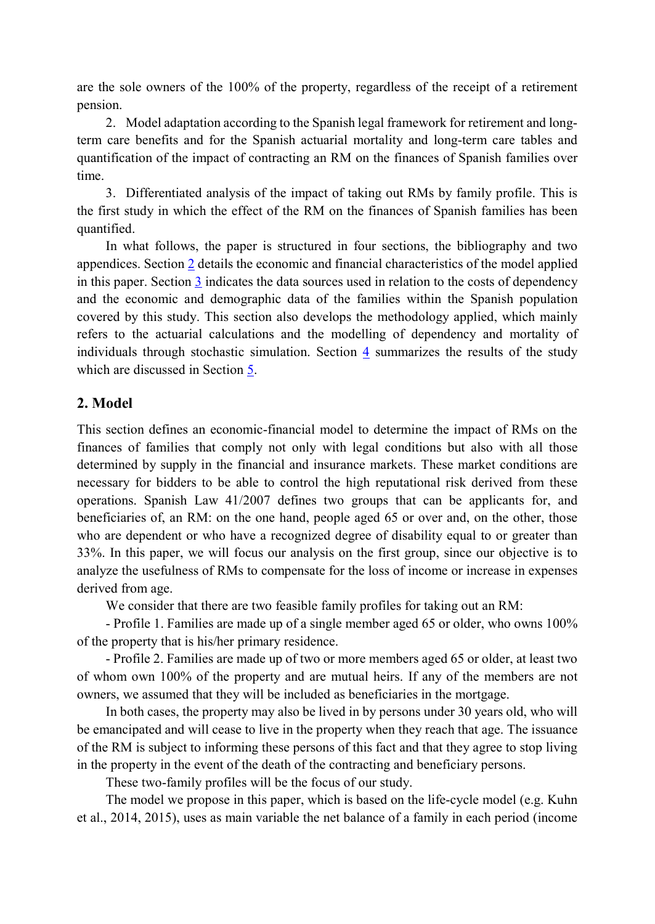are the sole owners of the 100% of the property, regardless of the receipt of a retirement pension.

2. Model adaptation according to the Spanish legal framework for retirement and longterm care benefits and for the Spanish actuarial mortality and long-term care tables and quantification of the impact of contracting an RM on the finances of Spanish families over time.

3. Differentiated analysis of the impact of taking out RMs by family profile. This is the first study in which the effect of the RM on the finances of Spanish families has been quantified.

In what follows, the paper is structured in four sections, the bibliography and two appendices. Section [2](#page-3-0) details the economic and financial characteristics of the model applied in this paper. Sectio[n 3](#page-6-0) indicates the data sources used in relation to the costs of dependency and the economic and demographic data of the families within the Spanish population covered by this study. This section also develops the methodology applied, which mainly refers to the actuarial calculations and the modelling of dependency and mortality of individuals through stochastic simulation. Section [4](#page-9-0) summarizes the results of the study which are discussed in Section 5.

### <span id="page-3-0"></span>**2. Model**

This section defines an economic-financial model to determine the impact of RMs on the finances of families that comply not only with legal conditions but also with all those determined by supply in the financial and insurance markets. These market conditions are necessary for bidders to be able to control the high reputational risk derived from these operations. Spanish Law 41/2007 defines two groups that can be applicants for, and beneficiaries of, an RM: on the one hand, people aged 65 or over and, on the other, those who are dependent or who have a recognized degree of disability equal to or greater than 33%. In this paper, we will focus our analysis on the first group, since our objective is to analyze the usefulness of RMs to compensate for the loss of income or increase in expenses derived from age.

We consider that there are two feasible family profiles for taking out an RM:

- Profile 1. Families are made up of a single member aged 65 or older, who owns 100% of the property that is his/her primary residence.

- Profile 2. Families are made up of two or more members aged 65 or older, at least two of whom own 100% of the property and are mutual heirs. If any of the members are not owners, we assumed that they will be included as beneficiaries in the mortgage.

In both cases, the property may also be lived in by persons under 30 years old, who will be emancipated and will cease to live in the property when they reach that age. The issuance of the RM is subject to informing these persons of this fact and that they agree to stop living in the property in the event of the death of the contracting and beneficiary persons.

These two-family profiles will be the focus of our study.

The model we propose in this paper, which is based on the life-cycle model (e.g. Kuhn et al., 2014, 2015), uses as main variable the net balance of a family in each period (income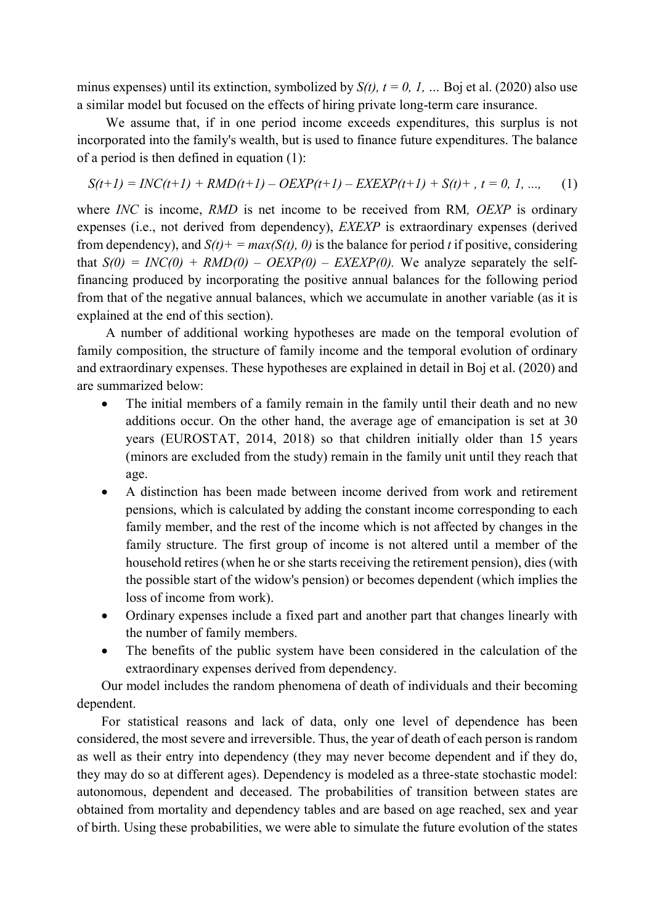minus expenses) until its extinction, symbolized by  $S(t)$ ,  $t = 0$ , I, ... Boj et al. (2020) also use a similar model but focused on the effects of hiring private long-term care insurance.

We assume that, if in one period income exceeds expenditures, this surplus is not incorporated into the family's wealth, but is used to finance future expenditures. The balance of a period is then defined in equation (1):

$$
S(t+1) = INC(t+1) + RMD(t+1) - OEXP(t+1) - EXEXP(t+1) + S(t) + , t = 0, 1, ..., \tag{1}
$$

where *INC* is income, *RMD* is net income to be received from RM*, OEXP* is ordinary expenses (i.e., not derived from dependency), *EXEXP* is extraordinary expenses (derived from dependency), and  $S(t)$  + =  $max(S(t), 0)$  is the balance for period *t* if positive, considering that  $S(0) = INC(0) + RMD(0) - OEXP(0) - EXEXP(0)$ . We analyze separately the selffinancing produced by incorporating the positive annual balances for the following period from that of the negative annual balances, which we accumulate in another variable (as it is explained at the end of this section).

A number of additional working hypotheses are made on the temporal evolution of family composition, the structure of family income and the temporal evolution of ordinary and extraordinary expenses. These hypotheses are explained in detail in Boj et al. (2020) and are summarized below:

- The initial members of a family remain in the family until their death and no new additions occur. On the other hand, the average age of emancipation is set at 30 years (EUROSTAT, 2014, 2018) so that children initially older than 15 years (minors are excluded from the study) remain in the family unit until they reach that age.
- A distinction has been made between income derived from work and retirement pensions, which is calculated by adding the constant income corresponding to each family member, and the rest of the income which is not affected by changes in the family structure. The first group of income is not altered until a member of the household retires (when he or she starts receiving the retirement pension), dies (with the possible start of the widow's pension) or becomes dependent (which implies the loss of income from work).
- Ordinary expenses include a fixed part and another part that changes linearly with the number of family members.
- The benefits of the public system have been considered in the calculation of the extraordinary expenses derived from dependency.

Our model includes the random phenomena of death of individuals and their becoming dependent.

For statistical reasons and lack of data, only one level of dependence has been considered, the most severe and irreversible. Thus, the year of death of each person is random as well as their entry into dependency (they may never become dependent and if they do, they may do so at different ages). Dependency is modeled as a three-state stochastic model: autonomous, dependent and deceased. The probabilities of transition between states are obtained from mortality and dependency tables and are based on age reached, sex and year of birth. Using these probabilities, we were able to simulate the future evolution of the states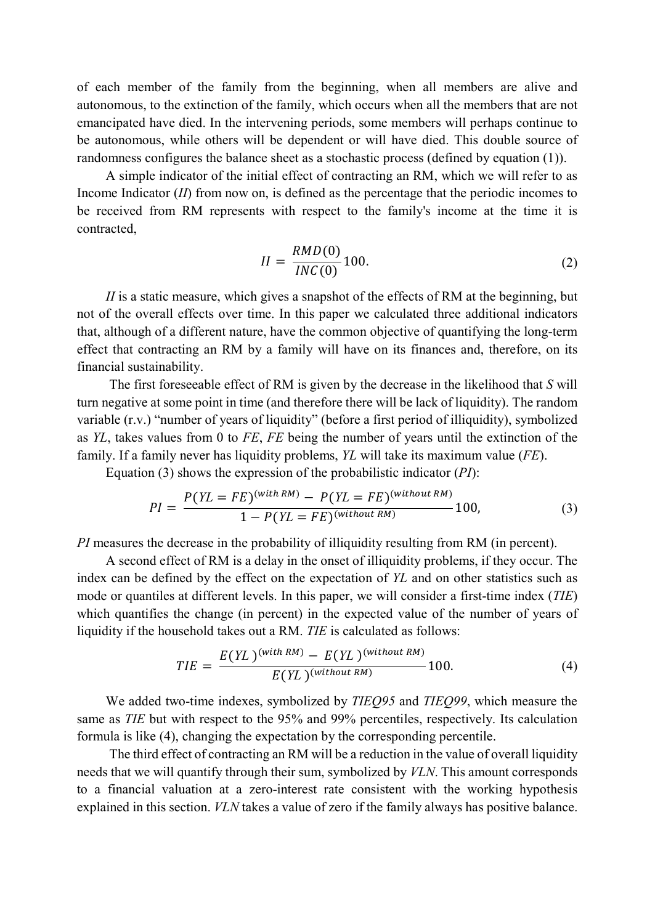of each member of the family from the beginning, when all members are alive and autonomous, to the extinction of the family, which occurs when all the members that are not emancipated have died. In the intervening periods, some members will perhaps continue to be autonomous, while others will be dependent or will have died. This double source of randomness configures the balance sheet as a stochastic process (defined by equation (1)).

A simple indicator of the initial effect of contracting an RM, which we will refer to as Income Indicator (*II*) from now on, is defined as the percentage that the periodic incomes to be received from RM represents with respect to the family's income at the time it is contracted,

$$
II = \frac{RMD(0)}{INC(0)} 100.
$$
 (2)

*II* is a static measure, which gives a snapshot of the effects of RM at the beginning, but not of the overall effects over time. In this paper we calculated three additional indicators that, although of a different nature, have the common objective of quantifying the long-term effect that contracting an RM by a family will have on its finances and, therefore, on its financial sustainability.

The first foreseeable effect of RM is given by the decrease in the likelihood that *S* will turn negative at some point in time (and therefore there will be lack of liquidity). The random variable (r.v.) "number of years of liquidity" (before a first period of illiquidity), symbolized as *YL*, takes values from 0 to *FE*, *FE* being the number of years until the extinction of the family. If a family never has liquidity problems, *YL* will take its maximum value (*FE*).

Equation (3) shows the expression of the probabilistic indicator (*PI*):

$$
PI = \frac{P(YL = FE)^{(with RM)} - P(YL = FE)^{(without RM)}}{1 - P(YL = FE)^{(without RM)}} 100,
$$
\n(3)

*PI* measures the decrease in the probability of illiquidity resulting from RM (in percent).

A second effect of RM is a delay in the onset of illiquidity problems, if they occur. The index can be defined by the effect on the expectation of *YL* and on other statistics such as mode or quantiles at different levels. In this paper, we will consider a first-time index (*TIE*) which quantifies the change (in percent) in the expected value of the number of years of liquidity if the household takes out a RM. *TIE* is calculated as follows:

$$
TIE = \frac{E(YL)^{(with\, RM)} - E(YL)^{(without\, RM)}}{E(YL)^{(without\, RM)}} 100. \tag{4}
$$

We added two-time indexes, symbolized by *TIEQ95* and *TIEQ99*, which measure the same as *TIE* but with respect to the 95% and 99% percentiles, respectively. Its calculation formula is like (4), changing the expectation by the corresponding percentile.

The third effect of contracting an RM will be a reduction in the value of overall liquidity needs that we will quantify through their sum, symbolized by *VLN*. This amount corresponds to a financial valuation at a zero-interest rate consistent with the working hypothesis explained in this section. *VLN* takes a value of zero if the family always has positive balance.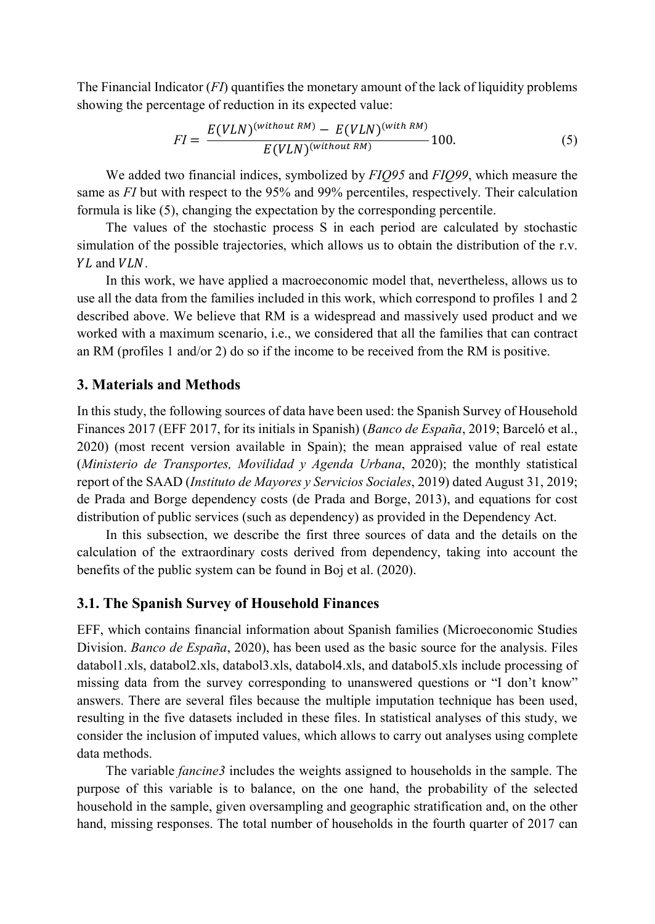The Financial Indicator (*FI*) quantifies the monetary amount of the lack of liquidity problems showing the percentage of reduction in its expected value:

$$
FI = \frac{E(VLN)^{(without RM)} - E(VLN)^{(with RM)}}{E(VLN)^{(without RM)}} 100.
$$
 (5)

We added two financial indices, symbolized by *FIQ95* and *FIQ99*, which measure the same as *FI* but with respect to the 95% and 99% percentiles, respectively. Their calculation formula is like (5), changing the expectation by the corresponding percentile.

The values of the stochastic process S in each period are calculated by stochastic simulation of the possible trajectories, which allows us to obtain the distribution of the r.v. YL and VLN.

<span id="page-6-0"></span>In this work, we have applied a macroeconomic model that, nevertheless, allows us to use all the data from the families included in this work, which correspond to profiles 1 and 2 described above. We believe that RM is a widespread and massively used product and we worked with a maximum scenario, i.e., we considered that all the families that can contract an RM (profiles 1 and/or 2) do so if the income to be received from the RM is positive.

#### **3. Materials and Methods**

In this study, the following sources of data have been used: the Spanish Survey of Household Finances 2017 (EFF 2017, for its initials in Spanish) (*Banco de España*, 2019; Barceló et al., 2020) (most recent version available in Spain); the mean appraised value of real estate (*Ministerio de Transportes, Movilidad y Agenda Urbana*, 2020); the monthly statistical report of the SAAD (*Instituto de Mayores y Servicios Sociales*, 2019) dated August 31, 2019; de Prada and Borge dependency costs (de Prada and Borge, 2013), and equations for cost distribution of public services (such as dependency) as provided in the Dependency Act.

In this subsection, we describe the first three sources of data and the details on the calculation of the extraordinary costs derived from dependency, taking into account the benefits of the public system can be found in Boj et al. (2020).

### **3.1. The Spanish Survey of Household Finances**

EFF, which contains financial information about Spanish families (Microeconomic Studies Division. *Banco de España*, 2020), has been used as the basic source for the analysis. Files databol1.xls, databol2.xls, databol3.xls, databol4.xls, and databol5.xls include processing of missing data from the survey corresponding to unanswered questions or "I don't know" answers. There are several files because the multiple imputation technique has been used, resulting in the five datasets included in these files. In statistical analyses of this study, we consider the inclusion of imputed values, which allows to carry out analyses using complete data methods.

The variable *fancine3* includes the weights assigned to households in the sample. The purpose of this variable is to balance, on the one hand, the probability of the selected household in the sample, given oversampling and geographic stratification and, on the other hand, missing responses. The total number of households in the fourth quarter of 2017 can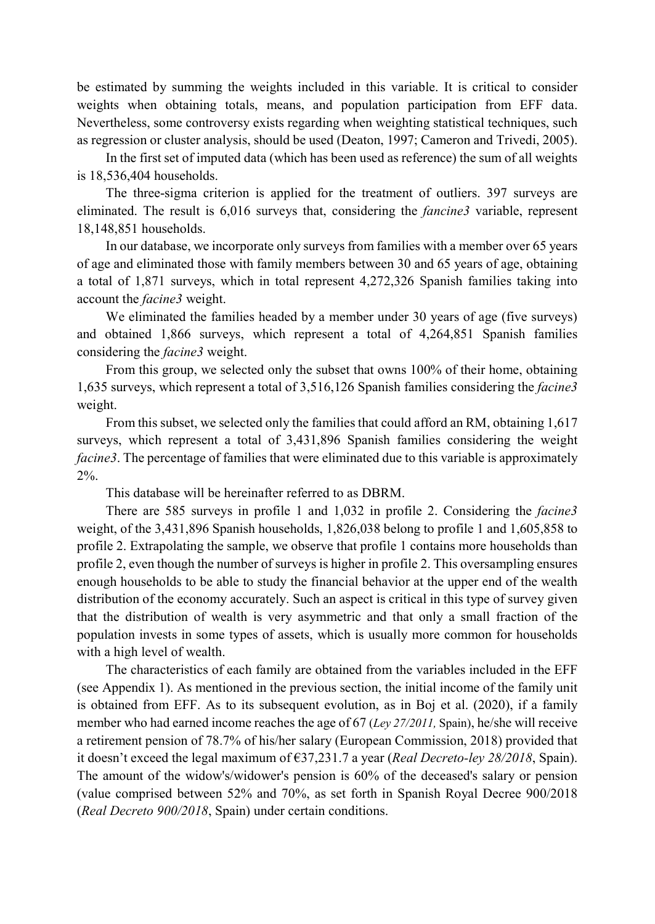be estimated by summing the weights included in this variable. It is critical to consider weights when obtaining totals, means, and population participation from EFF data. Nevertheless, some controversy exists regarding when weighting statistical techniques, such as regression or cluster analysis, should be used (Deaton, 1997; Cameron and Trivedi, 2005).

In the first set of imputed data (which has been used as reference) the sum of all weights is 18,536,404 households.

The three-sigma criterion is applied for the treatment of outliers. 397 surveys are eliminated. The result is 6,016 surveys that, considering the *fancine3* variable, represent 18,148,851 households.

In our database, we incorporate only surveys from families with a member over 65 years of age and eliminated those with family members between 30 and 65 years of age, obtaining a total of 1,871 surveys, which in total represent 4,272,326 Spanish families taking into account the *facine3* weight.

We eliminated the families headed by a member under 30 years of age (five surveys) and obtained 1,866 surveys, which represent a total of 4,264,851 Spanish families considering the *facine3* weight.

From this group, we selected only the subset that owns 100% of their home, obtaining 1,635 surveys, which represent a total of 3,516,126 Spanish families considering the *facine3* weight.

From this subset, we selected only the families that could afford an RM, obtaining 1,617 surveys, which represent a total of 3,431,896 Spanish families considering the weight *facine3*. The percentage of families that were eliminated due to this variable is approximately 2%.

This database will be hereinafter referred to as DBRM.

There are 585 surveys in profile 1 and 1,032 in profile 2. Considering the *facine3* weight, of the 3,431,896 Spanish households, 1,826,038 belong to profile 1 and 1,605,858 to profile 2. Extrapolating the sample, we observe that profile 1 contains more households than profile 2, even though the number of surveys is higher in profile 2. This oversampling ensures enough households to be able to study the financial behavior at the upper end of the wealth distribution of the economy accurately. Such an aspect is critical in this type of survey given that the distribution of wealth is very asymmetric and that only a small fraction of the population invests in some types of assets, which is usually more common for households with a high level of wealth.

The characteristics of each family are obtained from the variables included in the EFF (see Appendix 1). As mentioned in the previous section, the initial income of the family unit is obtained from EFF. As to its subsequent evolution, as in Boj et al. (2020), if a family member who had earned income reaches the age of 67 (*Ley 27/2011,* Spain), he/she will receive a retirement pension of 78.7% of his/her salary (European Commission, 2018) provided that it doesn't exceed the legal maximum of €37,231.7 a year (*Real Decreto-ley 28/2018*, Spain). The amount of the widow's/widower's pension is 60% of the deceased's salary or pension (value comprised between 52% and 70%, as set forth in Spanish Royal Decree 900/2018 (*Real Decreto 900/2018*, Spain) under certain conditions.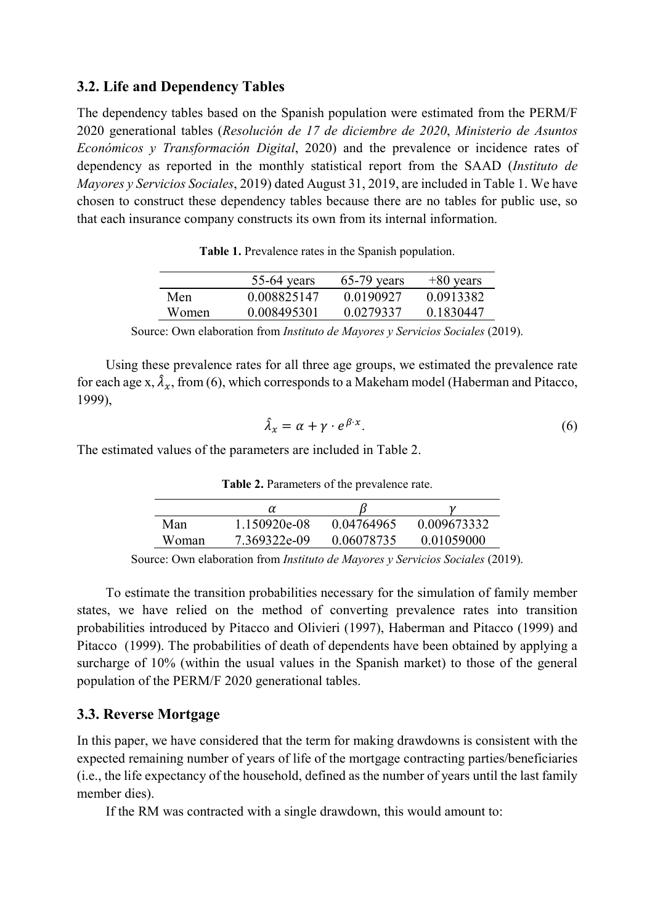# **3.2. Life and Dependency Tables**

The dependency tables based on the Spanish population were estimated from the PERM/F 2020 generational tables (*Resolución de 17 de diciembre de 2020*, *Ministerio de Asuntos Económicos y Transformación Digital*, 2020) and the prevalence or incidence rates of dependency as reported in the monthly statistical report from the SAAD (*Instituto de Mayores y Servicios Sociales*, 2019) dated August 31, 2019, are included i[n Table 1.](#page-8-0) We have chosen to construct these dependency tables because there are no tables for public use, so that each insurance company constructs its own from its internal information.

<span id="page-8-0"></span>

|       | $55-64$ years | $65-79$ years | $+80$ years |
|-------|---------------|---------------|-------------|
| Men   | 0.008825147   | 0.0190927     | 0.0913382   |
| Women | 0.008495301   | 0.0279337     | 0.1830447   |

Source: Own elaboration from *Instituto de Mayores y Servicios Sociales* (2019).

Using these prevalence rates for all three age groups, we estimated the prevalence rate for each age x,  $\lambda_x$ , from (6), which corresponds to a Makeham model (Haberman and Pitacco, 1999),

$$
\hat{\lambda}_x = \alpha + \gamma \cdot e^{\beta \cdot x}.\tag{6}
$$

<span id="page-8-1"></span>The estimated values of the parameters are included in [Table 2.](#page-8-1)

|       | α            |            |             |
|-------|--------------|------------|-------------|
| Man   | 1.150920e-08 | 0.04764965 | 0.009673332 |
| Woman | 7.369322e-09 | 0.06078735 | 0.01059000  |

**Table 2.** Parameters of the prevalence rate.

Source: Own elaboration from *Instituto de Mayores y Servicios Sociales* (2019).

To estimate the transition probabilities necessary for the simulation of family member states, we have relied on the method of converting prevalence rates into transition probabilities introduced by Pitacco and Olivieri (1997), Haberman and Pitacco (1999) and Pitacco (1999). The probabilities of death of dependents have been obtained by applying a surcharge of 10% (within the usual values in the Spanish market) to those of the general population of the PERM/F 2020 generational tables.

### **3.3. Reverse Mortgage**

In this paper, we have considered that the term for making drawdowns is consistent with the expected remaining number of years of life of the mortgage contracting parties/beneficiaries (i.e., the life expectancy of the household, defined as the number of years until the last family member dies).

If the RM was contracted with a single drawdown, this would amount to: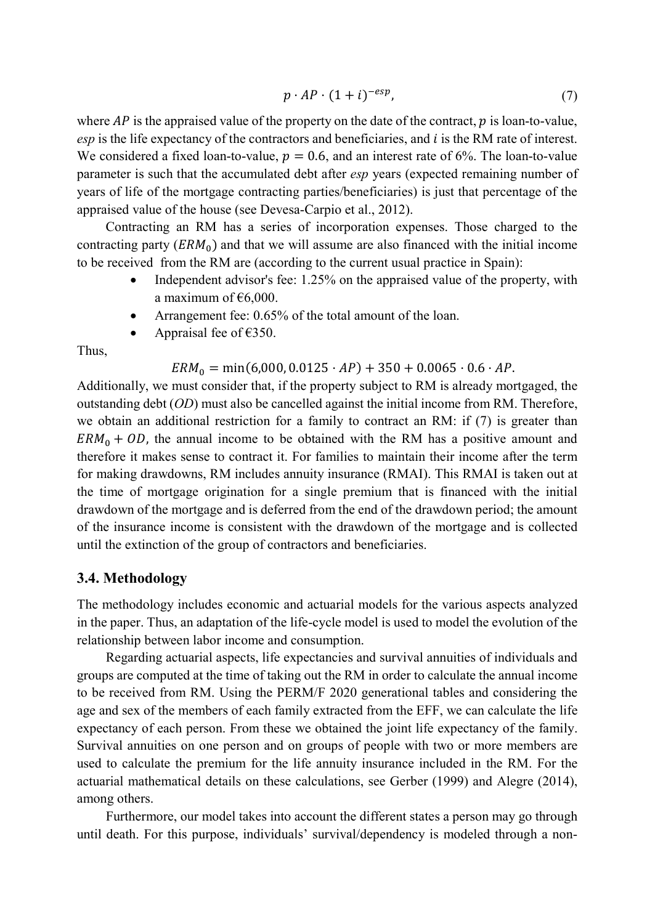$$
p \cdot AP \cdot (1+i)^{-esp},\tag{7}
$$

where  $AP$  is the appraised value of the property on the date of the contract,  $p$  is loan-to-value, *esp* is the life expectancy of the contractors and beneficiaries, and *i* is the RM rate of interest. We considered a fixed loan-to-value,  $p = 0.6$ , and an interest rate of 6%. The loan-to-value parameter is such that the accumulated debt after *esp* years (expected remaining number of years of life of the mortgage contracting parties/beneficiaries) is just that percentage of the appraised value of the house (see Devesa-Carpio et al., 2012).

Contracting an RM has a series of incorporation expenses. Those charged to the contracting party  $(ERM_0)$  and that we will assume are also financed with the initial income to be received from the RM are (according to the current usual practice in Spain):

- Independent advisor's fee: 1.25% on the appraised value of the property, with a maximum of  $€6,000$ .
- Arrangement fee: 0.65% of the total amount of the loan.
- Appraisal fee of  $€350$ .

Thus,

 $ERM_0 = min(6,000, 0.0125 \cdot AP) + 350 + 0.0065 \cdot 0.6 \cdot AP$ .

Additionally, we must consider that, if the property subject to RM is already mortgaged, the outstanding debt (*OD*) must also be cancelled against the initial income from RM. Therefore, we obtain an additional restriction for a family to contract an RM: if (7) is greater than  $ERM<sub>0</sub> + OD$ , the annual income to be obtained with the RM has a positive amount and therefore it makes sense to contract it. For families to maintain their income after the term for making drawdowns, RM includes annuity insurance (RMAI). This RMAI is taken out at the time of mortgage origination for a single premium that is financed with the initial drawdown of the mortgage and is deferred from the end of the drawdown period; the amount of the insurance income is consistent with the drawdown of the mortgage and is collected until the extinction of the group of contractors and beneficiaries.

#### **3.4. Methodology**

<span id="page-9-0"></span>The methodology includes economic and actuarial models for the various aspects analyzed in the paper. Thus, an adaptation of the life-cycle model is used to model the evolution of the relationship between labor income and consumption.

Regarding actuarial aspects, life expectancies and survival annuities of individuals and groups are computed at the time of taking out the RM in order to calculate the annual income to be received from RM. Using the PERM/F 2020 generational tables and considering the age and sex of the members of each family extracted from the EFF, we can calculate the life expectancy of each person. From these we obtained the joint life expectancy of the family. Survival annuities on one person and on groups of people with two or more members are used to calculate the premium for the life annuity insurance included in the RM. For the actuarial mathematical details on these calculations, see Gerber (1999) and Alegre (2014), among others.

Furthermore, our model takes into account the different states a person may go through until death. For this purpose, individuals' survival/dependency is modeled through a non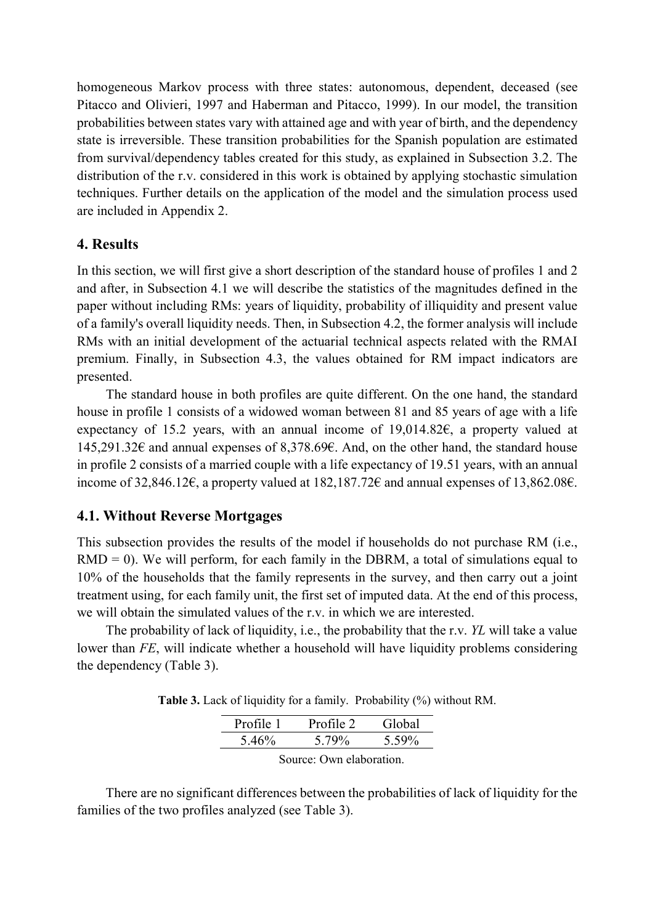homogeneous Markov process with three states: autonomous, dependent, deceased (see Pitacco and Olivieri, 1997 and Haberman and Pitacco, 1999). In our model, the transition probabilities between states vary with attained age and with year of birth, and the dependency state is irreversible. These transition probabilities for the Spanish population are estimated from survival/dependency tables created for this study, as explained in Subsection 3.2. The distribution of the r.v. considered in this work is obtained by applying stochastic simulation techniques. Further details on the application of the model and the simulation process used are included in Appendix 2.

## **4. Results**

In this section, we will first give a short description of the standard house of profiles 1 and 2 and after, in Subsection 4.1 we will describe the statistics of the magnitudes defined in the paper without including RMs: years of liquidity, probability of illiquidity and present value of a family's overall liquidity needs. Then, in Subsection 4.2, the former analysis will include RMs with an initial development of the actuarial technical aspects related with the RMAI premium. Finally, in Subsection 4.3, the values obtained for RM impact indicators are presented.

The standard house in both profiles are quite different. On the one hand, the standard house in profile 1 consists of a widowed woman between 81 and 85 years of age with a life expectancy of 15.2 years, with an annual income of 19,014.82€, a property valued at 145,291.32€ and annual expenses of 8,378.69€. And, on the other hand, the standard house in profile 2 consists of a married couple with a life expectancy of 19.51 years, with an annual income of 32,846.12€, a property valued at 182,187.72€ and annual expenses of 13,862.08€.

# **4.1. Without Reverse Mortgages**

This subsection provides the results of the model if households do not purchase RM (i.e.,  $RMD = 0$ ). We will perform, for each family in the DBRM, a total of simulations equal to 10% of the households that the family represents in the survey, and then carry out a joint treatment using, for each family unit, the first set of imputed data. At the end of this process, we will obtain the simulated values of the r.v. in which we are interested.

<span id="page-10-0"></span>The probability of lack of liquidity, i.e., the probability that the r.v. *YL* will take a value lower than *FE*, will indicate whether a household will have liquidity problems considering the dependency [\(Table 3\)](#page-10-0).

**Table 3.** Lack of liquidity for a family. Probability (%) without RM.

| Profile 1 | Profile 2 | Global |
|-----------|-----------|--------|
| 5.46%     | 5.79%     | 5.59%  |

Source: Own elaboration.

There are no significant differences between the probabilities of lack of liquidity for the families of the two profiles analyzed (see [Table 3\)](#page-10-0).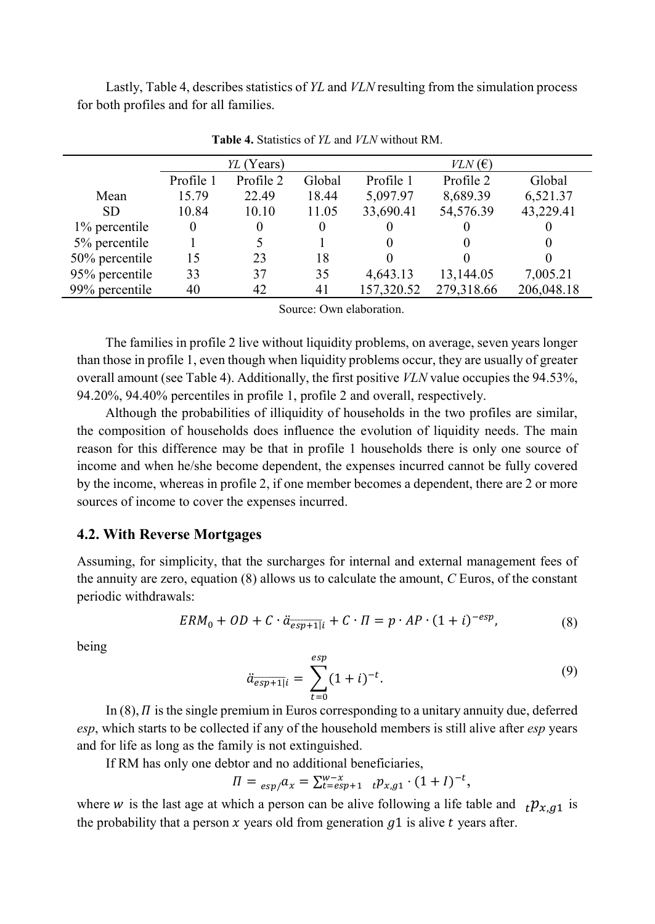<span id="page-11-0"></span>Lastly[, Table 4,](#page-11-0) describes statistics of *YL* and *VLN* resulting from the simulation process for both profiles and for all families.

|                |           | YL (Years) |          |            | $VLN$ (E)  |            |
|----------------|-----------|------------|----------|------------|------------|------------|
|                | Profile 1 | Profile 2  | Global   | Profile 1  | Profile 2  | Global     |
| Mean           | 15.79     | 22.49      | 18.44    | 5,097.97   | 8,689.39   | 6,521.37   |
| <b>SD</b>      | 10.84     | 10.10      | 11.05    | 33,690.41  | 54,576.39  | 43,229.41  |
| 1% percentile  | $\theta$  | $\theta$   | $\theta$ | 0          |            |            |
| 5% percentile  |           | 5.         |          | 0          |            | $\theta$   |
| 50% percentile | 15        | 23         | 18       | 0          |            |            |
| 95% percentile | 33        | 37         | 35       | 4,643.13   | 13,144.05  | 7,005.21   |
| 99% percentile | 40        | 42         | 41       | 157,320.52 | 279,318.66 | 206,048.18 |

**Table 4.** Statistics of *YL* and *VLN* without RM.

Source: Own elaboration.

The families in profile 2 live without liquidity problems, on average, seven years longer than those in profile 1, even though when liquidity problems occur, they are usually of greater overall amount (see [Table 4\)](#page-11-0). Additionally, the first positive *VLN* value occupies the 94.53%, 94.20%, 94.40% percentiles in profile 1, profile 2 and overall, respectively.

Although the probabilities of illiquidity of households in the two profiles are similar, the composition of households does influence the evolution of liquidity needs. The main reason for this difference may be that in profile 1 households there is only one source of income and when he/she become dependent, the expenses incurred cannot be fully covered by the income, whereas in profile 2, if one member becomes a dependent, there are 2 or more sources of income to cover the expenses incurred.

### **4.2. With Reverse Mortgages**

Assuming, for simplicity, that the surcharges for internal and external management fees of the annuity are zero, equation (8) allows us to calculate the amount, *C* Euros, of the constant periodic withdrawals:

$$
ERM_{0} + OD + C \cdot \ddot{a}_{\overline{esp+1|i}} + C \cdot \Pi = p \cdot AP \cdot (1+i)^{-esp}, \tag{8}
$$

being

$$
\ddot{a}_{\overline{esp+1}|i} = \sum_{t=0}^{esp} (1+i)^{-t}.
$$
 (9)

In (8),  $\Pi$  is the single premium in Euros corresponding to a unitary annuity due, deferred *esp*, which starts to be collected if any of the household members is still alive after *esp* years and for life as long as the family is not extinguished.

If RM has only one debtor and no additional beneficiaries,

$$
\Pi = \frac{e^{sp}}{e^{x}} = \sum_{t=esp+1}^{w-x} t p_{x,g1} \cdot (1+I)^{-t},
$$

where w is the last age at which a person can be alive following a life table and  ${}_{t}p_{x,q1}$  is the probability that a person  $x$  years old from generation  $q_1$  is alive  $t$  years after.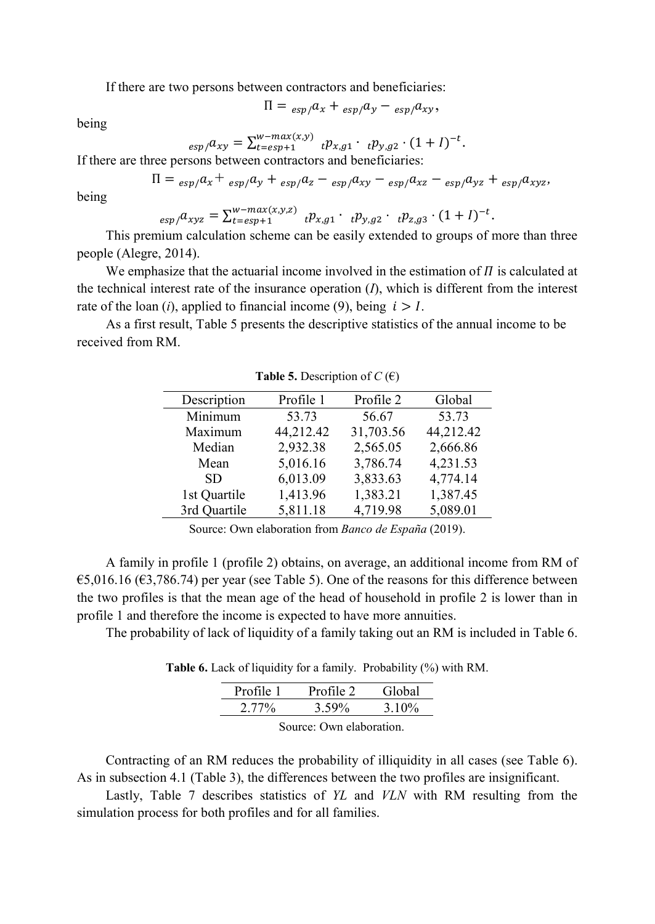If there are two persons between contractors and beneficiaries:

$$
\Pi = {}_{(exp)}a_x + {}_{(exp)}a_y - {}_{(exp)}a_{xy},
$$

being

$$
_{exp}/a_{xy} = \sum_{t=esp+1}^{w-max(x,y)} i p_{x,g1} \cdot i p_{y,g2} \cdot (1+I)^{-t}.
$$

If there are three persons between contractors and beneficiaries:

$$
\Pi = \frac{1}{\exp{a_x}} + \frac{1}{\exp{a_y}} + \frac{1}{\exp{a_z}} - \frac{1}{\exp{a_{xy}}}} - \frac{1}{\exp{a_{xz}} - \frac{1}{\exp{a_{yz}}}} + \frac{1}{\exp{a_{xyz}}}
$$

being

$$
_{exp/}a_{xyz} = \sum_{t=esp+1}^{w-max(x,y,z)} i p_{x,g1} \cdot i p_{y,g2} \cdot i p_{z,g3} \cdot (1+I)^{-t}.
$$

This premium calculation scheme can be easily extended to groups of more than three people (Alegre, 2014).

We emphasize that the actuarial income involved in the estimation of  $\Pi$  is calculated at the technical interest rate of the insurance operation (*I*), which is different from the interest rate of the loan  $(i)$ , applied to financial income  $(9)$ , being  $i > 1$ .

<span id="page-12-0"></span>As a first result, [Table 5](#page-12-0) presents the descriptive statistics of the annual income to be received from RM.

| Description  | Profile 1 | Profile 2 | Global    |
|--------------|-----------|-----------|-----------|
| Minimum      | 53.73     | 56.67     | 53.73     |
| Maximum      | 44,212.42 | 31,703.56 | 44,212.42 |
| Median       | 2,932.38  | 2,565.05  | 2,666.86  |
| Mean         | 5,016.16  | 3,786.74  | 4,231.53  |
| SD.          | 6,013.09  | 3,833.63  | 4,774.14  |
| 1st Quartile | 1,413.96  | 1,383.21  | 1,387.45  |
| 3rd Quartile | 5,811.18  | 4,719.98  | 5,089.01  |

**Table 5.** Description of  $C(\epsilon)$ 

Source: Own elaboration from *Banco de España* (2019).

A family in profile 1 (profile 2) obtains, on average, an additional income from RM of  $\epsilon$ 5,016.16 ( $\epsilon$ 3,786.74) per year (see [Table 5\)](#page-12-0). One of the reasons for this difference between the two profiles is that the mean age of the head of household in profile 2 is lower than in profile 1 and therefore the income is expected to have more annuities.

<span id="page-12-1"></span>The probability of lack of liquidity of a family taking out an RM is included i[n Table 6.](#page-12-1)

**Table 6.** Lack of liquidity for a family. Probability (%) with RM.

| Profile 1         | Profile 2 | Global |  |
|-------------------|-----------|--------|--|
| $2.77\%$          | 3.59%     | 3.10%  |  |
| $\sim$ 11 $\cdot$ |           |        |  |

Source: Own elaboration.

Contracting of an RM reduces the probability of illiquidity in all cases (see [Table 6\)](#page-12-1). As in subsection 4.1 [\(Table 3\)](#page-10-0), the differences between the two profiles are insignificant.

Lastly, [Table 7](#page-13-0) describes statistics of *YL* and *VLN* with RM resulting from the simulation process for both profiles and for all families.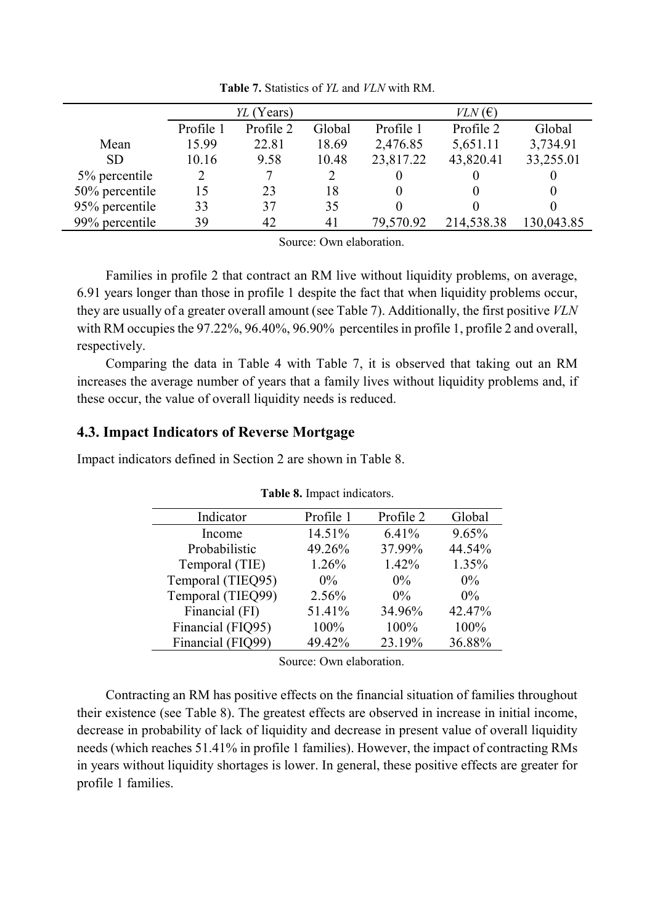<span id="page-13-0"></span>

|                |           | YL (Years) |        |           | $VLN$ (E)  |            |
|----------------|-----------|------------|--------|-----------|------------|------------|
|                | Profile 1 | Profile 2  | Global | Profile 1 | Profile 2  | Global     |
| Mean           | 15.99     | 22.81      | 18.69  | 2,476.85  | 5,651.11   | 3,734.91   |
| <b>SD</b>      | 10.16     | 9.58       | 10.48  | 23,817.22 | 43,820.41  | 33,255.01  |
| 5% percentile  | 2         |            |        |           |            |            |
| 50% percentile | 15        | 23         | 18     |           |            |            |
| 95% percentile | 33        | 37         | 35     |           |            |            |
| 99% percentile | 39        | 42         | 41     | 79,570.92 | 214,538.38 | 130,043.85 |

**Table 7.** Statistics of *YL* and *VLN* with RM.

Source: Own elaboration.

Families in profile 2 that contract an RM live without liquidity problems, on average, 6.91 years longer than those in profile 1 despite the fact that when liquidity problems occur, they are usually of a greater overall amount (see [Table 7\)](#page-13-0). Additionally, the first positive *VLN* with RM occupies the 97.22%, 96.40%, 96.90% percentiles in profile 1, profile 2 and overall, respectively.

Comparing the data in [Table 4](#page-11-0) with [Table 7,](#page-13-0) it is observed that taking out an RM increases the average number of years that a family lives without liquidity problems and, if these occur, the value of overall liquidity needs is reduced.

## **4.3. Impact Indicators of Reverse Mortgage**

<span id="page-13-1"></span>Impact indicators defined in Section 2 are shown in [Table 8.](#page-13-1)

| Indicator         | Profile 1 | Profile 2 | Global |
|-------------------|-----------|-----------|--------|
| Income            | 14.51%    | 6.41%     | 9.65%  |
| Probabilistic     | 49.26%    | 37.99%    | 44.54% |
| Temporal (TIE)    | 1.26%     | 1.42%     | 1.35%  |
| Temporal (TIEQ95) | $0\%$     | $0\%$     | $0\%$  |
| Temporal (TIEQ99) | 2.56%     | $0\%$     | $0\%$  |
| Financial (FI)    | 51.41%    | 34.96%    | 42.47% |
| Financial (FIQ95) | 100%      | 100%      | 100%   |
| Financial (FIQ99) | 49.42%    | 23.19%    | 36.88% |

**Table 8.** Impact indicators.

Source: Own elaboration.

Contracting an RM has positive effects on the financial situation of families throughout their existence (see [Table 8\)](#page-13-1). The greatest effects are observed in increase in initial income, decrease in probability of lack of liquidity and decrease in present value of overall liquidity needs (which reaches 51.41% in profile 1 families). However, the impact of contracting RMs in years without liquidity shortages is lower. In general, these positive effects are greater for profile 1 families.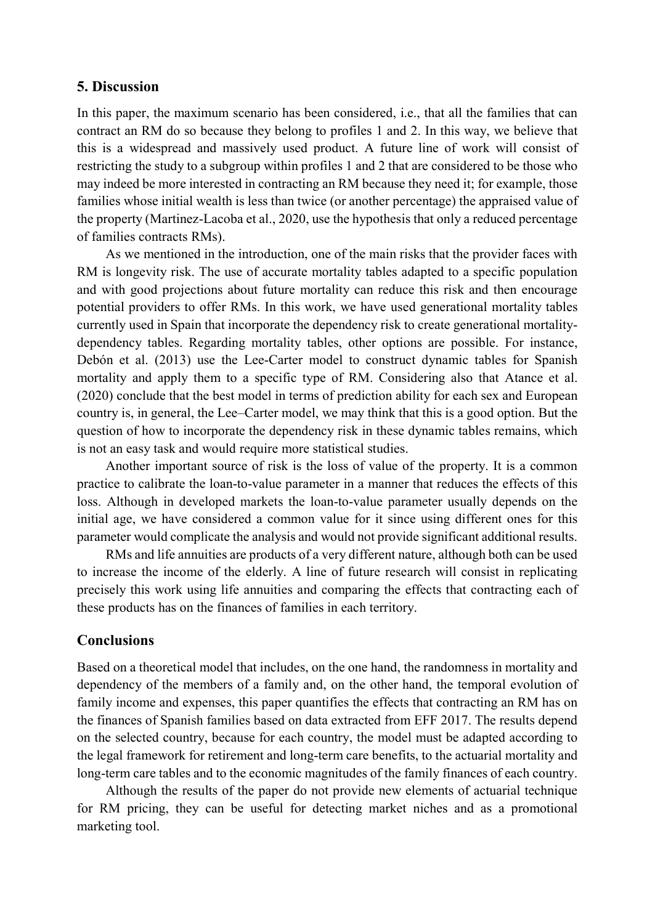### **5. Discussion**

In this paper, the maximum scenario has been considered, i.e., that all the families that can contract an RM do so because they belong to profiles 1 and 2. In this way, we believe that this is a widespread and massively used product. A future line of work will consist of restricting the study to a subgroup within profiles 1 and 2 that are considered to be those who may indeed be more interested in contracting an RM because they need it; for example, those families whose initial wealth is less than twice (or another percentage) the appraised value of the property (Martinez-Lacoba et al., 2020, use the hypothesis that only a reduced percentage of families contracts RMs).

As we mentioned in the introduction, one of the main risks that the provider faces with RM is longevity risk. The use of accurate mortality tables adapted to a specific population and with good projections about future mortality can reduce this risk and then encourage potential providers to offer RMs. In this work, we have used generational mortality tables currently used in Spain that incorporate the dependency risk to create generational mortalitydependency tables. Regarding mortality tables, other options are possible. For instance, Debón et al. (2013) use the Lee-Carter model to construct dynamic tables for Spanish mortality and apply them to a specific type of RM. Considering also that Atance et al. (2020) conclude that the best model in terms of prediction ability for each sex and European country is, in general, the Lee–Carter model, we may think that this is a good option. But the question of how to incorporate the dependency risk in these dynamic tables remains, which is not an easy task and would require more statistical studies.

Another important source of risk is the loss of value of the property. It is a common practice to calibrate the loan-to-value parameter in a manner that reduces the effects of this loss. Although in developed markets the loan-to-value parameter usually depends on the initial age, we have considered a common value for it since using different ones for this parameter would complicate the analysis and would not provide significant additional results.

RMs and life annuities are products of a very different nature, although both can be used to increase the income of the elderly. A line of future research will consist in replicating precisely this work using life annuities and comparing the effects that contracting each of these products has on the finances of families in each territory.

### **Conclusions**

Based on a theoretical model that includes, on the one hand, the randomness in mortality and dependency of the members of a family and, on the other hand, the temporal evolution of family income and expenses, this paper quantifies the effects that contracting an RM has on the finances of Spanish families based on data extracted from EFF 2017. The results depend on the selected country, because for each country, the model must be adapted according to the legal framework for retirement and long-term care benefits, to the actuarial mortality and long-term care tables and to the economic magnitudes of the family finances of each country.

Although the results of the paper do not provide new elements of actuarial technique for RM pricing, they can be useful for detecting market niches and as a promotional marketing tool.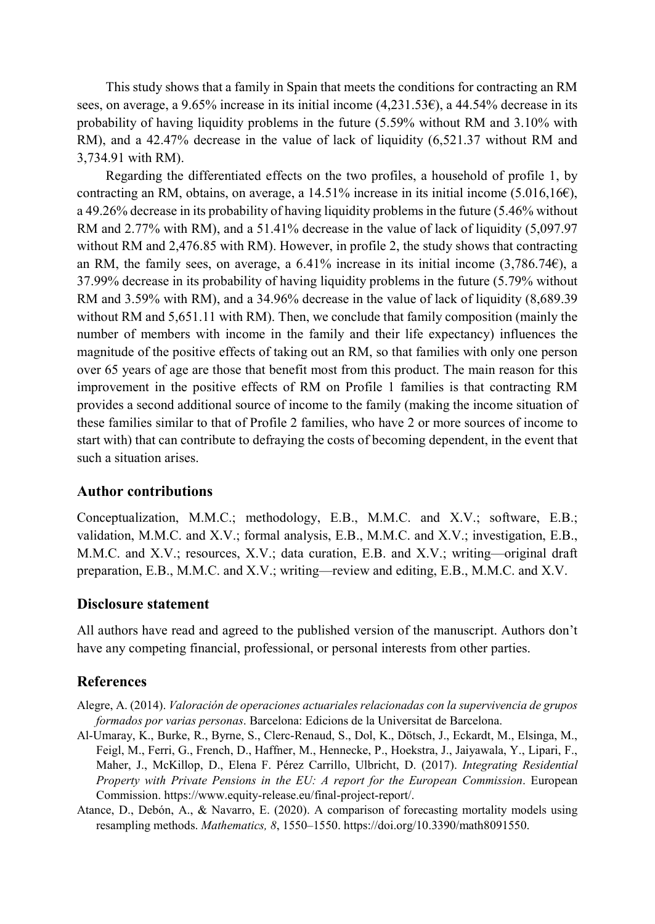This study shows that a family in Spain that meets the conditions for contracting an RM sees, on average, a 9.65% increase in its initial income (4,231.53€), a 44.54% decrease in its probability of having liquidity problems in the future (5.59% without RM and 3.10% with RM), and a 42.47% decrease in the value of lack of liquidity (6,521.37 without RM and 3,734.91 with RM).

Regarding the differentiated effects on the two profiles, a household of profile 1, by contracting an RM, obtains, on average, a  $14.51\%$  increase in its initial income (5.016,16 $\epsilon$ ), a 49.26% decrease in its probability of having liquidity problems in the future (5.46% without RM and 2.77% with RM), and a 51.41% decrease in the value of lack of liquidity (5,097.97 without RM and 2,476.85 with RM). However, in profile 2, the study shows that contracting an RM, the family sees, on average, a 6.41% increase in its initial income  $(3,786.74e)$ , a 37.99% decrease in its probability of having liquidity problems in the future (5.79% without RM and 3.59% with RM), and a 34.96% decrease in the value of lack of liquidity (8,689.39) without RM and 5,651.11 with RM). Then, we conclude that family composition (mainly the number of members with income in the family and their life expectancy) influences the magnitude of the positive effects of taking out an RM, so that families with only one person over 65 years of age are those that benefit most from this product. The main reason for this improvement in the positive effects of RM on Profile 1 families is that contracting RM provides a second additional source of income to the family (making the income situation of these families similar to that of Profile 2 families, who have 2 or more sources of income to start with) that can contribute to defraying the costs of becoming dependent, in the event that such a situation arises.

### **Author contributions**

Conceptualization, M.M.C.; methodology, E.B., M.M.C. and X.V.; software, E.B.; validation, M.M.C. and X.V.; formal analysis, E.B., M.M.C. and X.V.; investigation, E.B., M.M.C. and X.V.; resources, X.V.; data curation, E.B. and X.V.; writing—original draft preparation, E.B., M.M.C. and X.V.; writing—review and editing, E.B., M.M.C. and X.V.

### **Disclosure statement**

All authors have read and agreed to the published version of the manuscript. Authors don't have any competing financial, professional, or personal interests from other parties.

#### **References**

- Alegre, A. (2014). *Valoración de operaciones actuariales relacionadas con la supervivencia de grupos formados por varias personas*. Barcelona: Edicions de la Universitat de Barcelona.
- Al-Umaray, K., Burke, R., Byrne, S., Clerc-Renaud, S., Dol, K., Dötsch, J., Eckardt, M., Elsinga, M., Feigl, M., Ferri, G., French, D., Haffner, M., Hennecke, P., Hoekstra, J., Jaiyawala, Y., Lipari, F., Maher, J., McKillop, D., Elena F. Pérez Carrillo, Ulbricht, D. (2017). *Integrating Residential Property with Private Pensions in the EU: A report for the European Commission*. European Commission. https://www.equity-release.eu/final-project-report/.
- Atance, D., Debón, A., & Navarro, E. (2020). A comparison of forecasting mortality models using resampling methods. *Mathematics, 8*, 1550–1550. https://doi.org/10.3390/math8091550.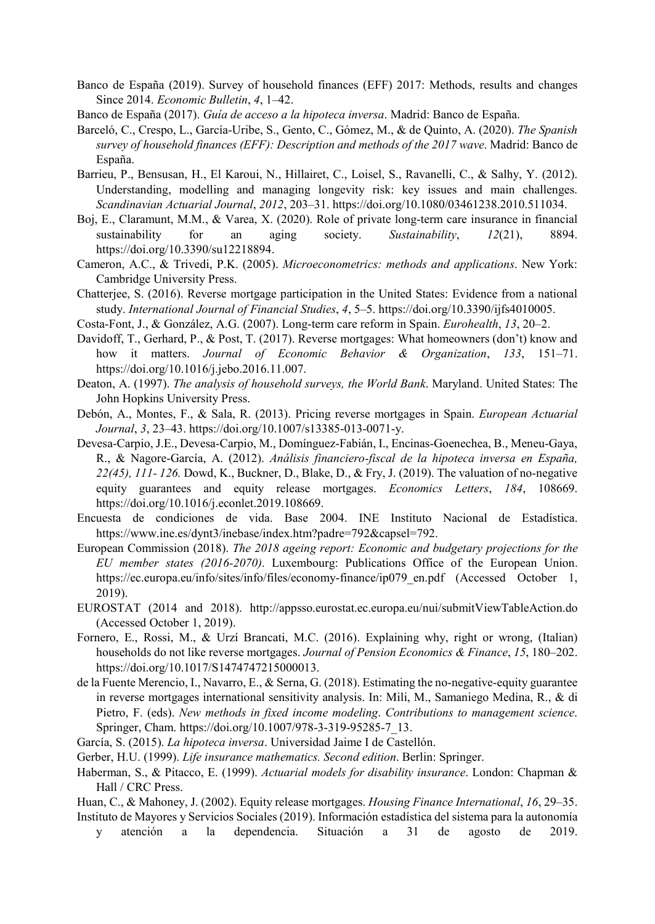- Banco de España (2019). Survey of household finances (EFF) 2017: Methods, results and changes Since 2014. *Economic Bulletin*, *4*, 1–42.
- Banco de España (2017). *Guía de acceso a la hipoteca inversa*. Madrid: Banco de España.
- Barceló, C., Crespo, L., García-Uribe, S., Gento, C., Gómez, M., & de Quinto, A. (2020). *The Spanish survey of household finances (EFF): Description and methods of the 2017 wave*. Madrid: Banco de España.
- Barrieu, P., Bensusan, H., El Karoui, N., Hillairet, C., Loisel, S., Ravanelli, C., & Salhy, Y. (2012). Understanding, modelling and managing longevity risk: key issues and main challenges. *Scandinavian Actuarial Journal*, *2012*, 203–31. https://doi.org/10.1080/03461238.2010.511034.
- Boj, E., Claramunt, M.M., & Varea, X. (2020). Role of private long-term care insurance in financial sustainability for an aging society. *Sustainability*, *12*(21), 8894. https://doi.org/10.3390/su12218894.
- Cameron, A.C., & Trivedi, P.K. (2005). *Microeconometrics: methods and applications*. New York: Cambridge University Press.
- Chatterjee, S. (2016). Reverse mortgage participation in the United States: Evidence from a national study. *International Journal of Financial Studies*, *4*, 5–5. https://doi.org/10.3390/ijfs4010005.
- Costa-Font, J., & González, A.G. (2007). Long-term care reform in Spain. *Eurohealth*, *13*, 20–2.
- Davidoff, T., Gerhard, P., & Post, T. (2017). Reverse mortgages: What homeowners (don't) know and how it matters. *Journal of Economic Behavior & Organization*, *133*, 151–71. https://doi.org/10.1016/j.jebo.2016.11.007.
- Deaton, A. (1997). *The analysis of household surveys, the World Bank*. Maryland. United States: The John Hopkins University Press.
- Debón, A., Montes, F., & Sala, R. (2013). Pricing reverse mortgages in Spain. *European Actuarial Journal*, *3*, 23–43[. https://doi.org/10.1007/s13385-013-0071-y.](https://doi.org/10.1007/s13385-013-0071-y)
- Devesa-Carpio, J.E., Devesa-Carpio, M., Domínguez-Fabián, I., Encinas-Goenechea, B., Meneu-Gaya, R., & Nagore-García, A. (2012). *Análisis financiero-fiscal de la hipoteca inversa en España, 22(45), 111- 126.* Dowd, K., Buckner, D., Blake, D., & Fry, J. (2019). The valuation of no-negative equity guarantees and equity release mortgages. *Economics Letters*, *184*, 108669. https://doi.org/10.1016/j.econlet.2019.108669.
- Encuesta de condiciones de vida. Base 2004. INE Instituto Nacional de Estadística. https://www.ine.es/dynt3/inebase/index.htm?padre=792&capsel=792.
- European Commission (2018). *The 2018 ageing report: Economic and budgetary projections for the EU member states (2016-2070)*. Luxembourg: Publications Office of the European Union. https://ec.europa.eu/info/sites/info/files/economy-finance/ip079\_en.pdf (Accessed October 1, 2019).
- EUROSTAT (2014 and 2018). http://appsso.eurostat.ec.europa.eu/nui/submitViewTableAction.do (Accessed October 1, 2019).
- Fornero, E., Rossi, M., & Urzí Brancati, M.C. (2016). Explaining why, right or wrong, (Italian) households do not like reverse mortgages. *Journal of Pension Economics & Finance*, *15*, 180–202. https://doi.org/10.1017/S1474747215000013.
- de la Fuente Merencio, I., Navarro, E., & Serna, G. (2018). Estimating the no-negative-equity guarantee in reverse mortgages international sensitivity analysis. In: Mili, M., Samaniego Medina, R., & di Pietro, F. (eds). *New methods in fixed income modeling*. *Contributions to management science*. Springer, Cham. https://doi.org/10.1007/978-3-319-95285-7\_13.
- García, S. (2015). *La hipoteca inversa*. Universidad Jaime I de Castellón.
- Gerber, H.U. (1999). *Life insurance mathematics. Second edition*. Berlin: Springer.
- Haberman, S., & Pitacco, E. (1999). *Actuarial models for disability insurance*. London: Chapman & Hall / CRC Press.
- Huan, C., & Mahoney, J. (2002). Equity release mortgages. *Housing Finance International*, *16*, 29–35.
- Instituto de Mayores y Servicios Sociales (2019). Información estadística del sistema para la autonomía y atención a la dependencia. Situación a 31 de agosto de 2019.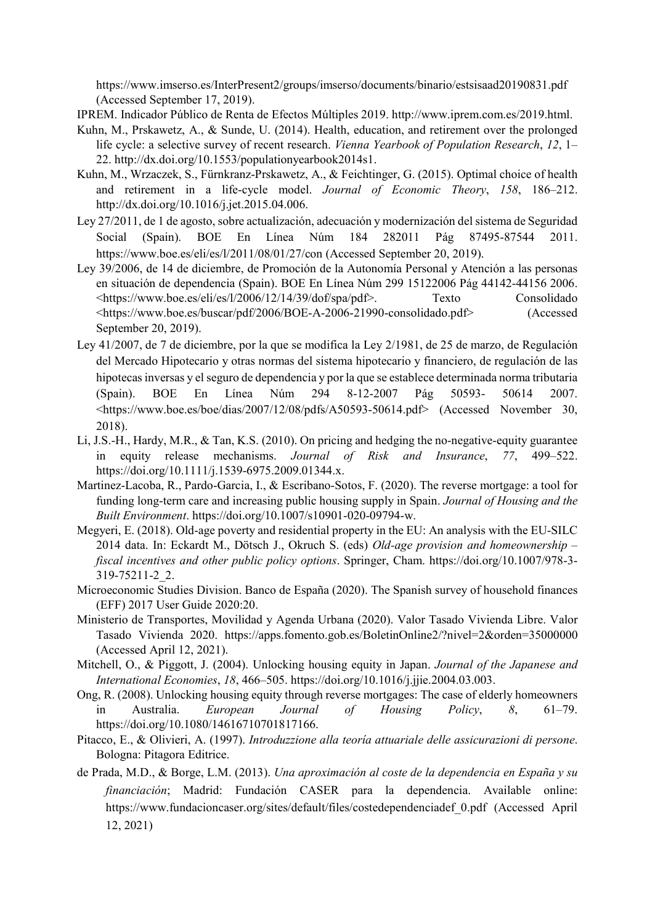https://www.imserso.es/InterPresent2/groups/imserso/documents/binario/estsisaad20190831.pdf (Accessed September 17, 2019).

IPREM. Indicador Público de Renta de Efectos Múltiples 2019. http://www.iprem.com.es/2019.html.

- Kuhn, M., Prskawetz, A., & Sunde, U. (2014). Health, education, and retirement over the prolonged life cycle: a selective survey of recent research. *Vienna Yearbook of Population Research*, *12*, 1– 22. http://dx.doi.org/10.1553/populationyearbook2014s1.
- Kuhn, M., Wrzaczek, S., Fürnkranz-Prskawetz, A., & Feichtinger, G. (2015). Optimal choice of health and retirement in a life-cycle model. *Journal of Economic Theory*, *158*, 186–212. http://dx.doi.org/10.1016/j.jet.2015.04.006.
- Ley 27/2011, de 1 de agosto, sobre actualización, adecuación y modernización del sistema de Seguridad Social (Spain). BOE En Línea Núm 184 282011 Pág 87495-87544 2011. https://www.boe.es/eli/es/l/2011/08/01/27/con (Accessed September 20, 2019).
- Ley 39/2006, de 14 de diciembre, de Promoción de la Autonomía Personal y Atención a las personas en situación de dependencia (Spain). BOE En Línea Núm 299 15122006 Pág 44142-44156 2006. <https://www.boe.es/eli/es/l/2006/12/14/39/dof/spa/pdf>. Texto Consolidado <https://www.boe.es/buscar/pdf/2006/BOE-A-2006-21990-consolidado.pdf> (Accessed September 20, 2019).
- Ley 41/2007, de 7 de diciembre, por la que se modifica la Ley 2/1981, de 25 de marzo, de Regulación del Mercado Hipotecario y otras normas del sistema hipotecario y financiero, de regulación de las hipotecas inversas y el seguro de dependencia y por la que se establece determinada norma tributaria (Spain). BOE En Línea Núm 294 8-12-2007 Pág 50593- 50614 2007. <https://www.boe.es/boe/dias/2007/12/08/pdfs/A50593-50614.pdf> (Accessed November 30, 2018).
- Li, J.S.-H., Hardy, M.R., & Tan, K.S. (2010). On pricing and hedging the no-negative-equity guarantee in equity release mechanisms. *Journal of Risk and Insurance*, *77*, 499–522. https://doi.org/10.1111/j.1539-6975.2009.01344.x.
- Martinez-Lacoba, R., Pardo-Garcia, I., & Escribano-Sotos, F. (2020). The reverse mortgage: a tool for funding long-term care and increasing public housing supply in Spain. *Journal of Housing and the Built Environment*[. https://doi.org/10.1007/s10901-020-09794-w.](https://doi.org/10.1007/s10901-020-09794-w)
- Megyeri, E. (2018). Old-age poverty and residential property in the EU: An analysis with the EU-SILC 2014 data. In: Eckardt M., Dötsch J., Okruch S. (eds) *Old-age provision and homeownership – fiscal incentives and other public policy options*. Springer, Cham. https://doi.org/10.1007/978-3- 319-75211-2\_2.
- Microeconomic Studies Division. Banco de España (2020). The Spanish survey of household finances (EFF) 2017 User Guide 2020:20.
- Ministerio de Transportes, Movilidad y Agenda Urbana (2020). Valor Tasado Vivienda Libre. Valor Tasado Vivienda 2020. https://apps.fomento.gob.es/BoletinOnline2/?nivel=2&orden=35000000 (Accessed April 12, 2021).
- Mitchell, O., & Piggott, J. (2004). Unlocking housing equity in Japan. *Journal of the Japanese and International Economies*, *18*, 466–505. https://doi.org/10.1016/j.jjie.2004.03.003.
- Ong, R. (2008). Unlocking housing equity through reverse mortgages: The case of elderly homeowners in Australia. *European Journal of Housing Policy*, *8*, 61–79. https://doi.org/10.1080/14616710701817166.
- Pitacco, E., & Olivieri, A. (1997). *Introduzzione alla teoría attuariale delle assicurazioni di persone*. Bologna: Pitagora Editrice.
- de Prada, M.D., & Borge, L.M. (2013). *Una aproximación al coste de la dependencia en España y su financiación*; Madrid: Fundación CASER para la dependencia. Available online: [https://www.fundacioncaser.org/sites/default/files/costedependenciadef\\_0.pdf](https://www.fundacioncaser.org/sites/default/files/costedependenciadef_0.pdf) (Accessed April 12, 2021)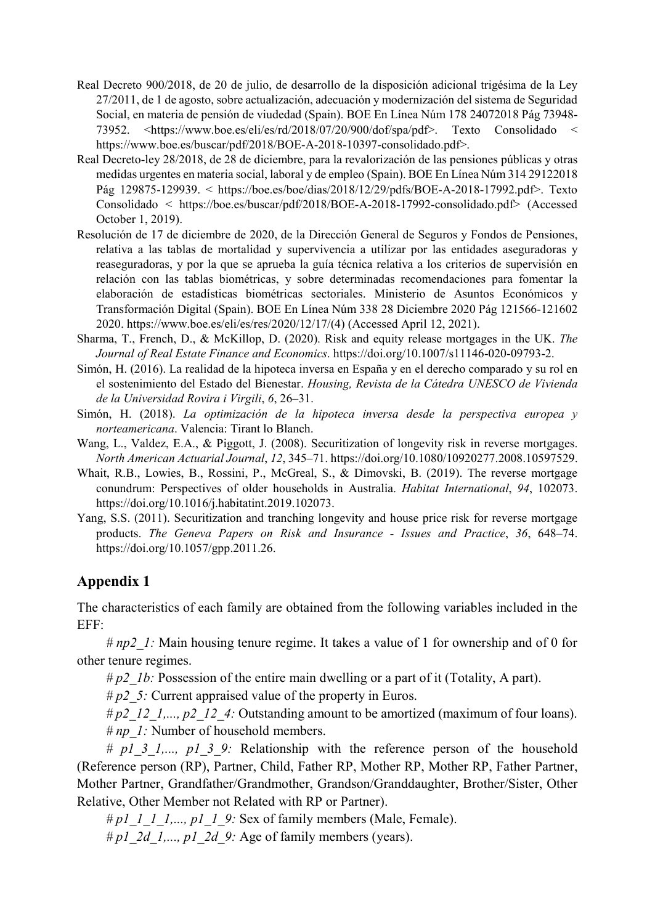- Real Decreto 900/2018, de 20 de julio, de desarrollo de la disposición adicional trigésima de la Ley 27/2011, de 1 de agosto, sobre actualización, adecuación y modernización del sistema de Seguridad Social, en materia de pensión de viudedad (Spain). BOE En Línea Núm 178 24072018 Pág 73948- 73952. <https://www.boe.es/eli/es/rd/2018/07/20/900/dof/spa/pdf>. Texto Consolidado < https://www.boe.es/buscar/pdf/2018/BOE-A-2018-10397-consolidado.pdf>.
- Real Decreto-ley 28/2018, de 28 de diciembre, para la revalorización de las pensiones públicas y otras medidas urgentes en materia social, laboral y de empleo (Spain). BOE En Línea Núm 314 29122018 Pág 129875-129939. < https://boe.es/boe/dias/2018/12/29/pdfs/BOE-A-2018-17992.pdf>. Texto Consolidado < https://boe.es/buscar/pdf/2018/BOE-A-2018-17992-consolidado.pdf> (Accessed October 1, 2019).
- Resolución de 17 de diciembre de 2020, de la Dirección General de Seguros y Fondos de Pensiones, relativa a las tablas de mortalidad y supervivencia a utilizar por las entidades aseguradoras y reaseguradoras, y por la que se aprueba la guía técnica relativa a los criterios de supervisión en relación con las tablas biométricas, y sobre determinadas recomendaciones para fomentar la elaboración de estadísticas biométricas sectoriales. Ministerio de Asuntos Económicos y Transformación Digital (Spain). BOE En Línea Núm 338 28 Diciembre 2020 Pág 121566-121602 2020. https://www.boe.es/eli/es/res/2020/12/17/(4) (Accessed April 12, 2021).
- Sharma, T., French, D., & McKillop, D. (2020). Risk and equity release mortgages in the UK. *The Journal of Real Estate Finance and Economics*. https://doi.org/10.1007/s11146-020-09793-2.
- Simón, H. (2016). La realidad de la hipoteca inversa en España y en el derecho comparado y su rol en el sostenimiento del Estado del Bienestar. *Housing, Revista de la Cátedra UNESCO de Vivienda de la Universidad Rovira i Virgili*, *6*, 26–31.
- Simón, H. (2018). *La optimización de la hipoteca inversa desde la perspectiva europea y norteamericana*. Valencia: Tirant lo Blanch.
- Wang, L., Valdez, E.A., & Piggott, J. (2008). Securitization of longevity risk in reverse mortgages. *North American Actuarial Journal*, *12*, 345–71. https://doi.org/10.1080/10920277.2008.10597529.
- Whait, R.B., Lowies, B., Rossini, P., McGreal, S., & Dimovski, B. (2019). The reverse mortgage conundrum: Perspectives of older households in Australia. *Habitat International*, *94*, 102073. https://doi.org/10.1016/j.habitatint.2019.102073.
- Yang, S.S. (2011). Securitization and tranching longevity and house price risk for reverse mortgage products. *The Geneva Papers on Risk and Insurance - Issues and Practice*, *36*, 648–74. https://doi.org/10.1057/gpp.2011.26.

# **Appendix 1**

The characteristics of each family are obtained from the following variables included in the EFF:

*# np2\_1:* Main housing tenure regime. It takes a value of 1 for ownership and of 0 for other tenure regimes.

*# p2\_1b:* Possession of the entire main dwelling or a part of it (Totality, A part).

*# p2\_5:* Current appraised value of the property in Euros.

*# p2\_12\_1,..., p2\_12\_4:* Outstanding amount to be amortized (maximum of four loans). *# np\_1:* Number of household members.

*# p1\_3\_1,..., p1\_3\_9:* Relationship with the reference person of the household (Reference person (RP), Partner, Child, Father RP, Mother RP, Mother RP, Father Partner, Mother Partner, Grandfather/Grandmother, Grandson/Granddaughter, Brother/Sister, Other Relative, Other Member not Related with RP or Partner).

*# p1\_1\_1\_1,..., p1\_1\_9:* Sex of family members (Male, Female).

*# p1\_2d\_1,..., p1\_2d\_9:* Age of family members (years).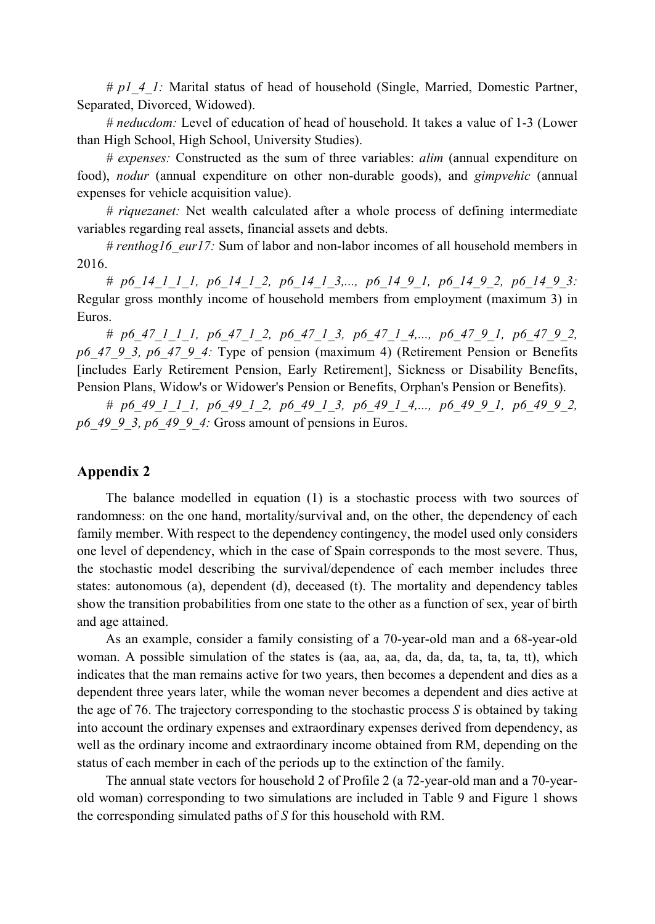*# p1\_4\_1:* Marital status of head of household (Single, Married, Domestic Partner, Separated, Divorced, Widowed).

*# neducdom:* Level of education of head of household. It takes a value of 1-3 (Lower than High School, High School, University Studies).

*# expenses:* Constructed as the sum of three variables: *alim* (annual expenditure on food), *nodur* (annual expenditure on other non-durable goods), and *gimpvehic* (annual expenses for vehicle acquisition value).

*# riquezanet:* Net wealth calculated after a whole process of defining intermediate variables regarding real assets, financial assets and debts.

*# renthog16\_eur17:* Sum of labor and non-labor incomes of all household members in 2016.

*# p6\_14\_1\_1\_1, p6\_14\_1\_2, p6\_14\_1\_3,..., p6\_14\_9\_1, p6\_14\_9\_2, p6\_14\_9\_3:*  Regular gross monthly income of household members from employment (maximum 3) in Euros.

*# p6\_47\_1\_1\_1, p6\_47\_1\_2, p6\_47\_1\_3, p6\_47\_1\_4,..., p6\_47\_9\_1, p6\_47\_9\_2, p6\_47\_9\_3, p6\_47\_9\_4:* Type of pension (maximum 4) (Retirement Pension or Benefits [includes Early Retirement Pension, Early Retirement], Sickness or Disability Benefits, Pension Plans, Widow's or Widower's Pension or Benefits, Orphan's Pension or Benefits).

*# p6\_49\_1\_1\_1, p6\_49\_1\_2, p6\_49\_1\_3, p6\_49\_1\_4,..., p6\_49\_9\_1, p6\_49\_9\_2, p6\_49\_9\_3, p6\_49\_9\_4:* Gross amount of pensions in Euros.

### **Appendix 2**

The balance modelled in equation (1) is a stochastic process with two sources of randomness: on the one hand, mortality/survival and, on the other, the dependency of each family member. With respect to the dependency contingency, the model used only considers one level of dependency, which in the case of Spain corresponds to the most severe. Thus, the stochastic model describing the survival/dependence of each member includes three states: autonomous (a), dependent (d), deceased (t). The mortality and dependency tables show the transition probabilities from one state to the other as a function of sex, year of birth and age attained.

As an example, consider a family consisting of a 70-year-old man and a 68-year-old woman. A possible simulation of the states is (aa, aa, aa, da, da, da, ta, ta, ta, tt), which indicates that the man remains active for two years, then becomes a dependent and dies as a dependent three years later, while the woman never becomes a dependent and dies active at the age of 76. The trajectory corresponding to the stochastic process *S* is obtained by taking into account the ordinary expenses and extraordinary expenses derived from dependency, as well as the ordinary income and extraordinary income obtained from RM, depending on the status of each member in each of the periods up to the extinction of the family.

The annual state vectors for household 2 of Profile 2 (a 72-year-old man and a 70-yearold woman) corresponding to two simulations are included in [Table 9](#page-20-0) and [Figure 1](#page-20-1) shows the corresponding simulated paths of *S* for this household with RM.